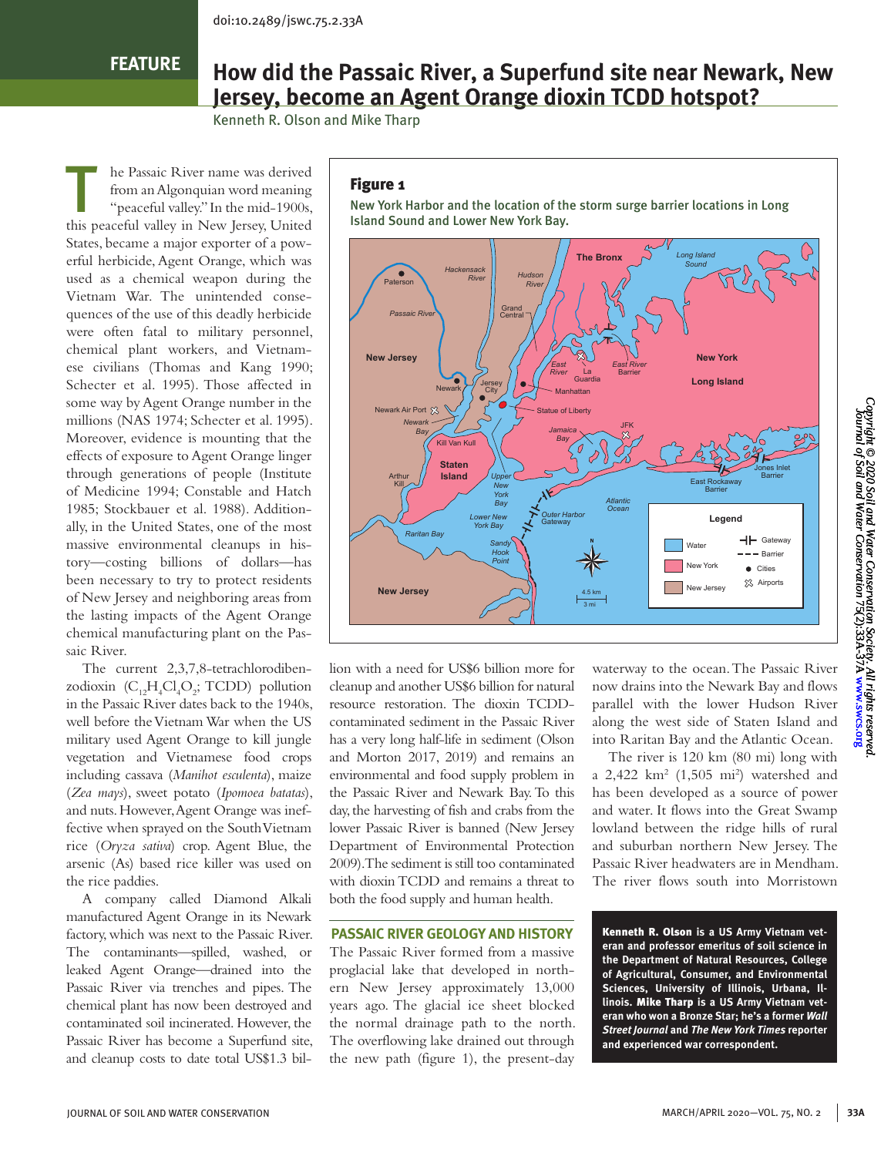# **FEATURE**

# **How did the Passaic River, a Superfund site near Newark, New Jersey, become an Agent Orange dioxin TCDD hotspot?**

Kenneth R. Olson and Mike Tharp

The Passaic River name was derived<br>
from an Algonquian word meaning<br>
"peaceful valley." In the mid-1900s, from an Algonquian word meaning this peaceful valley in New Jersey, United States, became a major exporter of a powerful herbicide, Agent Orange, which was used as a chemical weapon during the Vietnam War. The unintended consequences of the use of this deadly herbicide were often fatal to military personnel, chemical plant workers, and Vietnamese civilians (Thomas and Kang 1990; Schecter et al. 1995). Those affected in some way by Agent Orange number in the millions (NAS 1974; Schecter et al. 1995). Moreover, evidence is mounting that the effects of exposure to Agent Orange linger through generations of people (Institute of Medicine 1994; Constable and Hatch 1985; Stockbauer et al. 1988). Additionally, in the United States, one of the most massive environmental cleanups in history—costing billions of dollars—has been necessary to try to protect residents of New Jersey and neighboring areas from the lasting impacts of the Agent Orange chemical manufacturing plant on the Passaic River.

The current 2,3,7,8-tetrachlorodibenzodioxin  $(C_{12}H_4Cl_4O_2; TCDD)$  pollution in the Passaic River dates back to the 1940s, well before the Vietnam War when the US military used Agent Orange to kill jungle vegetation and Vietnamese food crops including cassava (*Manihot esculenta*), maize (*Zea mays*), sweet potato (*Ipomoea batatas*), and nuts. However, Agent Orange was ineffective when sprayed on the South Vietnam rice (*Oryza sativa*) crop. Agent Blue, the arsenic (As) based rice killer was used on the rice paddies.

A company called Diamond Alkali manufactured Agent Orange in its Newark factory, which was next to the Passaic River. The contaminants—spilled, washed, or leaked Agent Orange—drained into the Passaic River via trenches and pipes. The chemical plant has now been destroyed and contaminated soil incinerated. However, the Passaic River has become a Superfund site, and cleanup costs to date total US\$1.3 bil-

#### Figure 1

New York Harbor and the location of the storm surge barrier locations in Long Island Sound and Lower New York Bay.



lion with a need for US\$6 billion more for cleanup and another US\$6 billion for natural resource restoration. The dioxin TCDDcontaminated sediment in the Passaic River has a very long half-life in sediment (Olson and Morton 2017, 2019) and remains an environmental and food supply problem in the Passaic River and Newark Bay. To this day, the harvesting of fish and crabs from the lower Passaic River is banned (New Jersey Department of Environmental Protection 2009). The sediment is still too contaminated with dioxin TCDD and remains a threat to both the food supply and human health.

#### **PASSAIC RIVER GEOLOGY AND HISTORY**

The Passaic River formed from a massive proglacial lake that developed in northern New Jersey approximately 13,000 years ago. The glacial ice sheet blocked the normal drainage path to the north. The overflowing lake drained out through the new path (figure 1), the present-day

waterway to the ocean. The Passaic River now drains into the Newark Bay and flows parallel with the lower Hudson River along the west side of Staten Island and into Raritan Bay and the Atlantic Ocean.

The river is 120 km (80 mi) long with a 2,422 km<sup>2</sup> (1,505 mi<sup>2</sup>) watershed and has been developed as a source of power and water. It flows into the Great Swamp lowland between the ridge hills of rural and suburban northern New Jersey. The Passaic River headwaters are in Mendham. The river flows south into Morristown

Kenneth R. Olson **is a US Army Vietnam veteran and professor emeritus of soil science in the Department of Natural Resources, College of Agricultural, Consumer, and Environmental Sciences, University of Illinois, Urbana, Illinois.** Mike Tharp **is a US Army Vietnam veteran who won a Bronze Star; he's a former** *Wall Street Journal* **and** *The New York Times* **reporter and experienced war correspondent.**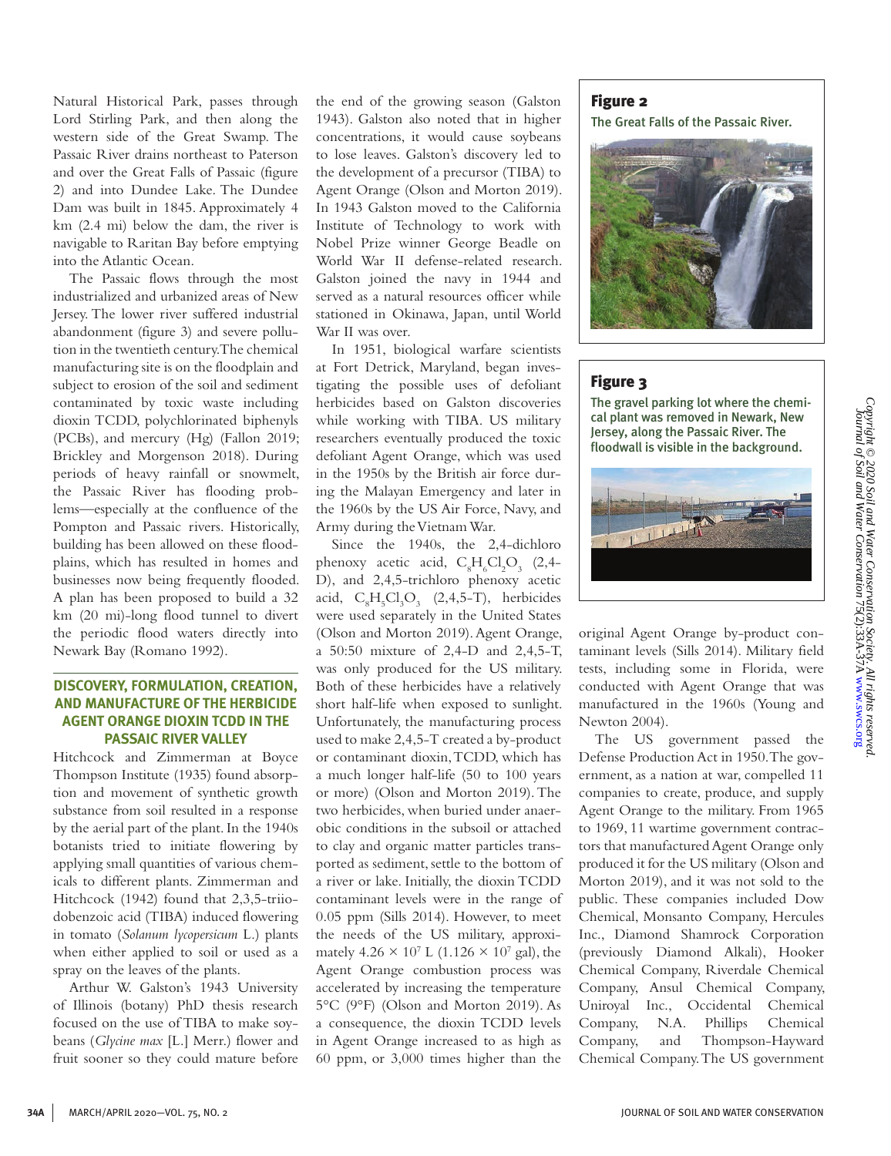Natural Historical Park, passes through Lord Stirling Park, and then along the western side of the Great Swamp. The Passaic River drains northeast to Paterson and over the Great Falls of Passaic (figure 2) and into Dundee Lake. The Dundee Dam was built in 1845. Approximately 4 km (2.4 mi) below the dam, the river is navigable to Raritan Bay before emptying into the Atlantic Ocean.

The Passaic flows through the most industrialized and urbanized areas of New Jersey. The lower river suffered industrial abandonment (figure 3) and severe pollution in the twentieth century. The chemical manufacturing site is on the floodplain and subject to erosion of the soil and sediment contaminated by toxic waste including dioxin TCDD, polychlorinated biphenyls (PCBs), and mercury (Hg) (Fallon 2019; Brickley and Morgenson 2018). During periods of heavy rainfall or snowmelt, the Passaic River has flooding problems—especially at the confluence of the Pompton and Passaic rivers. Historically, building has been allowed on these floodplains, which has resulted in homes and businesses now being frequently flooded. A plan has been proposed to build a 32 km (20 mi)-long flood tunnel to divert the periodic flood waters directly into Newark Bay (Romano 1992).

# **DISCOVERY, FORMULATION, CREATION, AND MANUFACTURE OF THE HERBICIDE AGENT ORANGE DIOXIN TCDD IN THE PASSAIC RIVER VALLEY**

Hitchcock and Zimmerman at Boyce Thompson Institute (1935) found absorption and movement of synthetic growth substance from soil resulted in a response by the aerial part of the plant. In the 1940s botanists tried to initiate flowering by applying small quantities of various chemicals to different plants. Zimmerman and Hitchcock (1942) found that 2,3,5-triiodobenzoic acid (TIBA) induced flowering in tomato (*Solanum lycopersicum* L.) plants when either applied to soil or used as a spray on the leaves of the plants.

Arthur W. Galston's 1943 University of Illinois (botany) PhD thesis research focused on the use of TIBA to make soybeans (*Glycine max* [L.] Merr.) flower and fruit sooner so they could mature before

the end of the growing season (Galston 1943). Galston also noted that in higher concentrations, it would cause soybeans to lose leaves. Galston's discovery led to the development of a precursor (TIBA) to Agent Orange (Olson and Morton 2019). In 1943 Galston moved to the California Institute of Technology to work with Nobel Prize winner George Beadle on World War II defense-related research. Galston joined the navy in 1944 and served as a natural resources officer while stationed in Okinawa, Japan, until World War II was over.

In 1951, biological warfare scientists at Fort Detrick, Maryland, began investigating the possible uses of defoliant herbicides based on Galston discoveries while working with TIBA. US military researchers eventually produced the toxic defoliant Agent Orange, which was used in the 1950s by the British air force during the Malayan Emergency and later in the 1960s by the US Air Force, Navy, and Army during the Vietnam War.

Since the 1940s, the 2,4-dichloro phenoxy acetic acid,  $C_8H_6Cl_2O_3$  (2,4-D), and 2,4,5-trichloro phenoxy acetic acid,  $C_8H_5Cl_3O_3$  (2,4,5-T), herbicides were used separately in the United States (Olson and Morton 2019). Agent Orange, a 50:50 mixture of 2,4-D and 2,4,5-T, was only produced for the US military. Both of these herbicides have a relatively short half-life when exposed to sunlight. Unfortunately, the manufacturing process used to make 2,4,5-T created a by-product or contaminant dioxin, TCDD, which has a much longer half-life (50 to 100 years or more) (Olson and Morton 2019). The two herbicides, when buried under anaerobic conditions in the subsoil or attached to clay and organic matter particles transported as sediment, settle to the bottom of a river or lake. Initially, the dioxin TCDD contaminant levels were in the range of 0.05 ppm (Sills 2014). However, to meet the needs of the US military, approximately  $4.26 \times 10^7$  L (1.126  $\times$  10<sup>7</sup> gal), the Agent Orange combustion process was accelerated by increasing the temperature 5°C (9°F) (Olson and Morton 2019). As a consequence, the dioxin TCDD levels in Agent Orange increased to as high as 60 ppm, or 3,000 times higher than the

#### Figure 2

The Great Falls of the Passaic River.



# Figure 3

The gravel parking lot where the chemical plant was removed in Newark, New Jersey, along the Passaic River. The floodwall is visible in the background.



original Agent Orange by-product contaminant levels (Sills 2014). Military field tests, including some in Florida, were conducted with Agent Orange that was manufactured in the 1960s (Young and Newton 2004).

The US government passed the Defense Production Act in 1950. The government, as a nation at war, compelled 11 companies to create, produce, and supply Agent Orange to the military. From 1965 to 1969, 11 wartime government contractors that manufactured Agent Orange only produced it for the US military (Olson and Morton 2019), and it was not sold to the public. These companies included Dow Chemical, Monsanto Company, Hercules Inc., Diamond Shamrock Corporation (previously Diamond Alkali), Hooker Chemical Company, Riverdale Chemical Company, Ansul Chemical Company, Uniroyal Inc., Occidental Chemical Company, N.A. Phillips Chemical Company, and Thompson-Hayward Chemical Company. The US government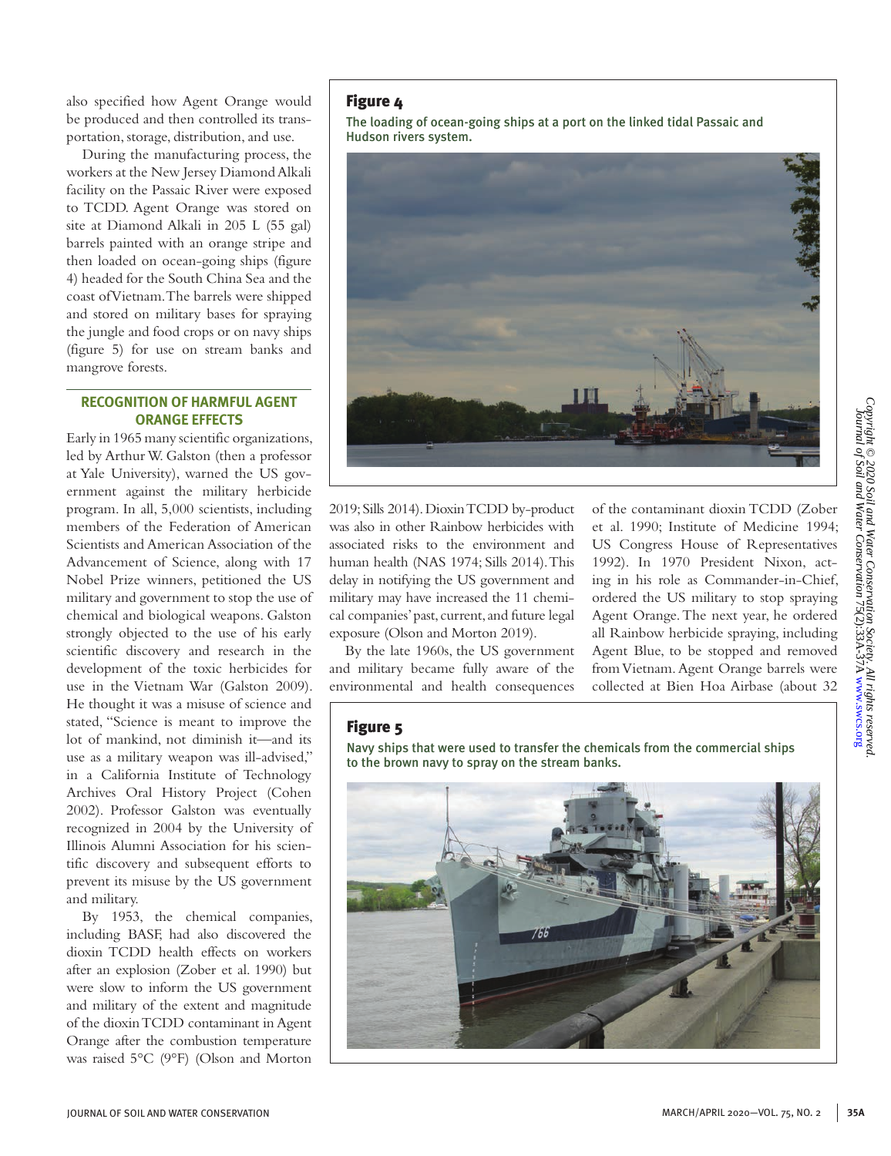*Copyright © 2020 Soil and Water Conservation Society. All rights reserved.*

also specified how Agent Orange would be produced and then controlled its transportation, storage, distribution, and use.

During the manufacturing process, the workers at the New Jersey Diamond Alkali facility on the Passaic River were exposed to TCDD. Agent Orange was stored on site at Diamond Alkali in 205 L (55 gal) barrels painted with an orange stripe and then loaded on ocean-going ships (figure 4) headed for the South China Sea and the coast of Vietnam. The barrels were shipped and stored on military bases for spraying the jungle and food crops or on navy ships (figure 5) for use on stream banks and mangrove forests.

## **RECOGNITION OF HARMFUL AGENT ORANGE EFFECTS**

Early in 1965 many scientific organizations, led by Arthur W. Galston (then a professor at Yale University), warned the US government against the military herbicide program. In all, 5,000 scientists, including members of the Federation of American Scientists and American Association of the Advancement of Science, along with 17 Nobel Prize winners, petitioned the US military and government to stop the use of chemical and biological weapons. Galston strongly objected to the use of his early scientific discovery and research in the development of the toxic herbicides for use in the Vietnam War (Galston 2009). He thought it was a misuse of science and stated, "Science is meant to improve the lot of mankind, not diminish it—and its use as a military weapon was ill-advised," in a California Institute of Technology Archives Oral History Project (Cohen 2002). Professor Galston was eventually recognized in 2004 by the University of Illinois Alumni Association for his scientific discovery and subsequent efforts to prevent its misuse by the US government and military.

By 1953, the chemical companies, including BASF, had also discovered the dioxin TCDD health effects on workers after an explosion (Zober et al. 1990) but were slow to inform the US government and military of the extent and magnitude of the dioxin TCDD contaminant in Agent Orange after the combustion temperature was raised 5°C (9°F) (Olson and Morton

## Figure 4

The loading of ocean-going ships at a port on the linked tidal Passaic and Hudson rivers system.



2019; Sills 2014). Dioxin TCDD by-product was also in other Rainbow herbicides with associated risks to the environment and human health (NAS 1974; Sills 2014). This delay in notifying the US government and military may have increased the 11 chemical companies' past, current, and future legal exposure (Olson and Morton 2019).

By the late 1960s, the US government and military became fully aware of the environmental and health consequences

of the contaminant dioxin TCDD (Zober et al. 1990; Institute of Medicine 1994; US Congress House of Representatives 1992). In 1970 President Nixon, acting in his role as Commander-in-Chief, ordered the US military to stop spraying Agent Orange. The next year, he ordered all Rainbow herbicide spraying, including Agent Blue, to be stopped and removed from Vietnam. Agent Orange barrels were collected at Bien Hoa Airbase (about 32

# Figure 5

Navy ships that were used to transfer the chemicals from the commercial ships to the brown navy to spray on the stream banks.

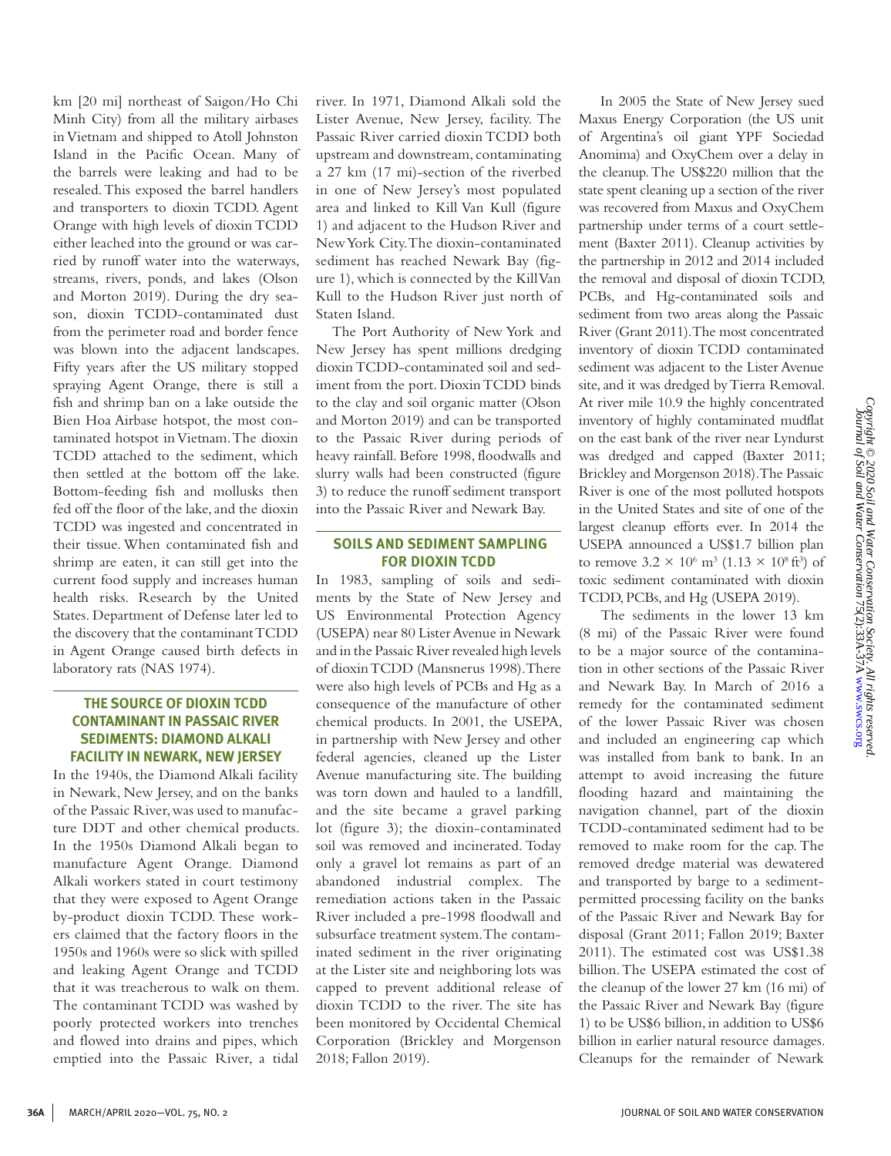km [20 mi] northeast of Saigon/Ho Chi Minh City) from all the military airbases in Vietnam and shipped to Atoll Johnston Island in the Pacific Ocean. Many of the barrels were leaking and had to be resealed. This exposed the barrel handlers and transporters to dioxin TCDD. Agent Orange with high levels of dioxin TCDD either leached into the ground or was carried by runoff water into the waterways, streams, rivers, ponds, and lakes (Olson and Morton 2019). During the dry season, dioxin TCDD-contaminated dust from the perimeter road and border fence was blown into the adjacent landscapes. Fifty years after the US military stopped spraying Agent Orange, there is still a fish and shrimp ban on a lake outside the Bien Hoa Airbase hotspot, the most contaminated hotspot in Vietnam. The dioxin TCDD attached to the sediment, which then settled at the bottom off the lake. Bottom-feeding fish and mollusks then fed off the floor of the lake, and the dioxin TCDD was ingested and concentrated in their tissue. When contaminated fish and shrimp are eaten, it can still get into the current food supply and increases human health risks. Research by the United States. Department of Defense later led to the discovery that the contaminant TCDD in Agent Orange caused birth defects in laboratory rats (NAS 1974).

# **THE SOURCE OF DIOXIN TCDD CONTAMINANT IN PASSAIC RIVER SEDIMENTS: DIAMOND ALKALI FACILITY IN NEWARK, NEW JERSEY**

In the 1940s, the Diamond Alkali facility in Newark, New Jersey, and on the banks of the Passaic River, was used to manufacture DDT and other chemical products. In the 1950s Diamond Alkali began to manufacture Agent Orange. Diamond Alkali workers stated in court testimony that they were exposed to Agent Orange by-product dioxin TCDD. These workers claimed that the factory floors in the 1950s and 1960s were so slick with spilled and leaking Agent Orange and TCDD that it was treacherous to walk on them. The contaminant TCDD was washed by poorly protected workers into trenches and flowed into drains and pipes, which emptied into the Passaic River, a tidal

river. In 1971, Diamond Alkali sold the Lister Avenue, New Jersey, facility. The Passaic River carried dioxin TCDD both upstream and downstream, contaminating a 27 km (17 mi)-section of the riverbed in one of New Jersey's most populated area and linked to Kill Van Kull (figure 1) and adjacent to the Hudson River and New York City. The dioxin-contaminated sediment has reached Newark Bay (figure 1), which is connected by the Kill Van Kull to the Hudson River just north of Staten Island.

The Port Authority of New York and New Jersey has spent millions dredging dioxin TCDD-contaminated soil and sediment from the port. Dioxin TCDD binds to the clay and soil organic matter (Olson and Morton 2019) and can be transported to the Passaic River during periods of heavy rainfall. Before 1998, floodwalls and slurry walls had been constructed (figure 3) to reduce the runoff sediment transport into the Passaic River and Newark Bay.

# **SOILS AND SEDIMENT SAMPLING FOR DIOXIN TCDD**

In 1983, sampling of soils and sediments by the State of New Jersey and US Environmental Protection Agency (USEPA) near 80 Lister Avenue in Newark and in the Passaic River revealed high levels of dioxin TCDD (Mansnerus 1998). There were also high levels of PCBs and Hg as a consequence of the manufacture of other chemical products. In 2001, the USEPA, in partnership with New Jersey and other federal agencies, cleaned up the Lister Avenue manufacturing site. The building was torn down and hauled to a landfill, and the site became a gravel parking lot (figure 3); the dioxin-contaminated soil was removed and incinerated. Today only a gravel lot remains as part of an abandoned industrial complex. The remediation actions taken in the Passaic River included a pre-1998 floodwall and subsurface treatment system. The contaminated sediment in the river originating at the Lister site and neighboring lots was capped to prevent additional release of dioxin TCDD to the river. The site has been monitored by Occidental Chemical Corporation (Brickley and Morgenson 2018; Fallon 2019).

 In 2005 the State of New Jersey sued Maxus Energy Corporation (the US unit of Argentina's oil giant YPF Sociedad Anomima) and OxyChem over a delay in the cleanup. The US\$220 million that the state spent cleaning up a section of the river was recovered from Maxus and OxyChem partnership under terms of a court settlement (Baxter 2011). Cleanup activities by the partnership in 2012 and 2014 included the removal and disposal of dioxin TCDD, PCBs, and Hg-contaminated soils and sediment from two areas along the Passaic River (Grant 2011). The most concentrated inventory of dioxin TCDD contaminated sediment was adjacent to the Lister Avenue site, and it was dredged by Tierra Removal. At river mile 10.9 the highly concentrated inventory of highly contaminated mudflat on the east bank of the river near Lyndurst was dredged and capped (Baxter 2011; Brickley and Morgenson 2018). The Passaic River is one of the most polluted hotspots in the United States and site of one of the largest cleanup efforts ever. In 2014 the USEPA announced a US\$1.7 billion plan to remove  $3.2 \times 10^6$  m<sup>3</sup> (1.13  $\times 10^8$  ft<sup>3</sup>) of toxic sediment contaminated with dioxin TCDD, PCBs, and Hg (USEPA 2019).

 The sediments in the lower 13 km (8 mi) of the Passaic River were found to be a major source of the contamination in other sections of the Passaic River and Newark Bay. In March of 2016 a remedy for the contaminated sediment of the lower Passaic River was chosen and included an engineering cap which was installed from bank to bank. In an attempt to avoid increasing the future flooding hazard and maintaining the navigation channel, part of the dioxin TCDD-contaminated sediment had to be removed to make room for the cap. The removed dredge material was dewatered and transported by barge to a sedimentpermitted processing facility on the banks of the Passaic River and Newark Bay for disposal (Grant 2011; Fallon 2019; Baxter 2011). The estimated cost was US\$1.38 billion. The USEPA estimated the cost of the cleanup of the lower 27 km (16 mi) of the Passaic River and Newark Bay (figure 1) to be US\$6 billion, in addition to US\$6 billion in earlier natural resource damages. Cleanups for the remainder of Newark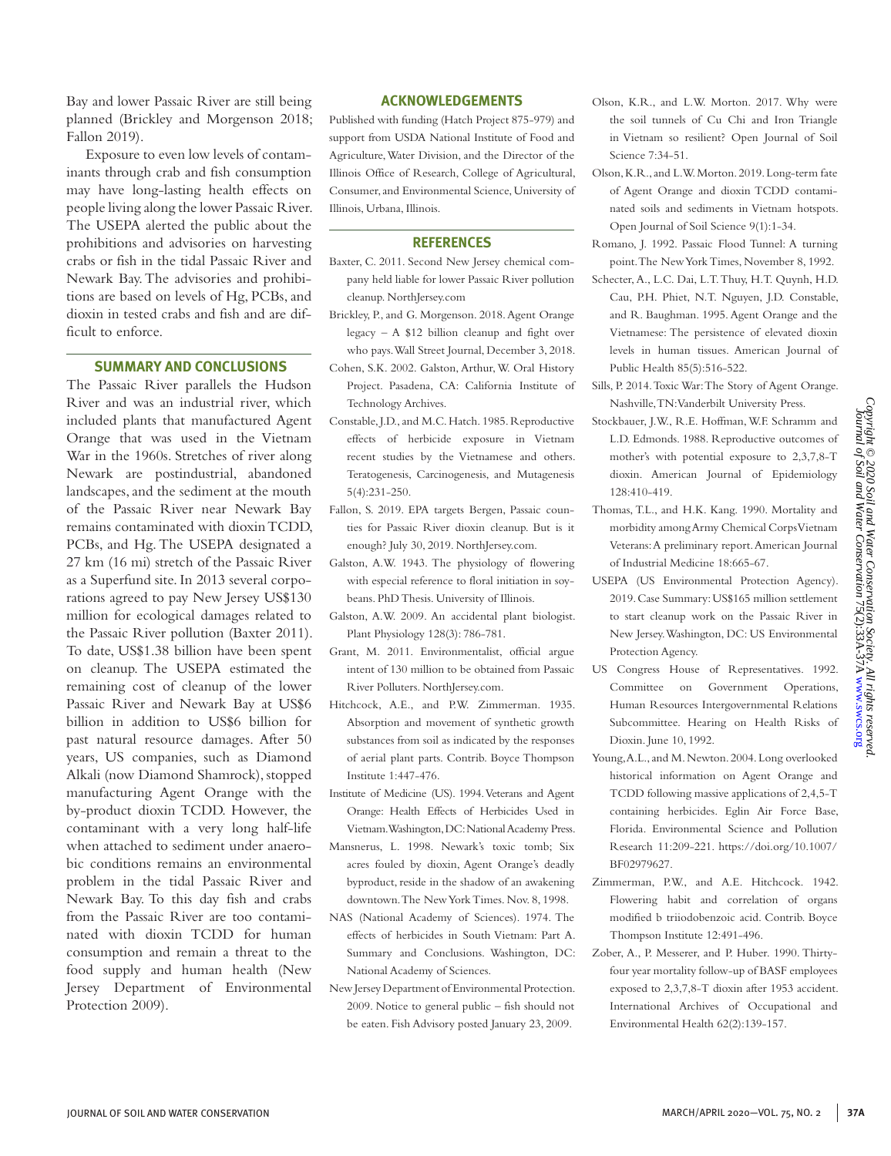Bay and lower Passaic River are still being planned (Brickley and Morgenson 2018; Fallon 2019).

 Exposure to even low levels of contaminants through crab and fish consumption may have long-lasting health effects on people living along the lower Passaic River. The USEPA alerted the public about the prohibitions and advisories on harvesting crabs or fish in the tidal Passaic River and Newark Bay. The advisories and prohibitions are based on levels of Hg, PCBs, and dioxin in tested crabs and fish and are difficult to enforce.

#### **SUMMARY AND CONCLUSIONS**

The Passaic River parallels the Hudson River and was an industrial river, which included plants that manufactured Agent Orange that was used in the Vietnam War in the 1960s. Stretches of river along Newark are postindustrial, abandoned landscapes, and the sediment at the mouth of the Passaic River near Newark Bay remains contaminated with dioxin TCDD, PCBs, and Hg. The USEPA designated a 27 km (16 mi) stretch of the Passaic River as a Superfund site. In 2013 several corporations agreed to pay New Jersey US\$130 million for ecological damages related to the Passaic River pollution (Baxter 2011). To date, US\$1.38 billion have been spent on cleanup. The USEPA estimated the remaining cost of cleanup of the lower Passaic River and Newark Bay at US\$6 billion in addition to US\$6 billion for past natural resource damages. After 50 years, US companies, such as Diamond Alkali (now Diamond Shamrock), stopped manufacturing Agent Orange with the by-product dioxin TCDD. However, the contaminant with a very long half-life when attached to sediment under anaerobic conditions remains an environmental problem in the tidal Passaic River and Newark Bay. To this day fish and crabs from the Passaic River are too contaminated with dioxin TCDD for human consumption and remain a threat to the food supply and human health (New Jersey Department of Environmental Protection 2009).

#### **ACKNOWLEDGEMENTS**

Published with funding (Hatch Project 875-979) and support from USDA National Institute of Food and Agriculture, Water Division, and the Director of the Illinois Office of Research, College of Agricultural, Consumer, and Environmental Science, University of Illinois, Urbana, Illinois.

#### **REFERENCES**

- Baxter, C. 2011. Second New Jersey chemical company held liable for lower Passaic River pollution cleanup. NorthJersey.com
- Brickley, P., and G. Morgenson. 2018. Agent Orange legacy – A \$12 billion cleanup and fight over who pays. Wall Street Journal, December 3, 2018.
- Cohen, S.K. 2002. Galston, Arthur, W. Oral History Project. Pasadena, CA: California Institute of Technology Archives.
- Constable, J.D., and M.C. Hatch. 1985. Reproductive effects of herbicide exposure in Vietnam recent studies by the Vietnamese and others. Teratogenesis, Carcinogenesis, and Mutagenesis 5(4):231-250.
- Fallon, S. 2019. EPA targets Bergen, Passaic counties for Passaic River dioxin cleanup. But is it enough? July 30, 2019. NorthJersey.com.
- Galston, A.W. 1943. The physiology of flowering with especial reference to floral initiation in soybeans. PhD Thesis. University of Illinois.
- Galston, A.W. 2009. An accidental plant biologist. Plant Physiology 128(3): 786-781.
- Grant, M. 2011. Environmentalist, official argue intent of 130 million to be obtained from Passaic River Polluters. NorthJersey.com.
- Hitchcock, A.E., and P.W. Zimmerman. 1935. Absorption and movement of synthetic growth substances from soil as indicated by the responses of aerial plant parts. Contrib. Boyce Thompson Institute 1:447-476.
- Institute of Medicine (US). 1994. Veterans and Agent Orange: Health Effects of Herbicides Used in Vietnam. Washington, DC: National Academy Press.
- Mansnerus, L. 1998. Newark's toxic tomb; Six acres fouled by dioxin, Agent Orange's deadly byproduct, reside in the shadow of an awakening downtown. The New York Times. Nov. 8, 1998.
- NAS (National Academy of Sciences). 1974. The effects of herbicides in South Vietnam: Part A. Summary and Conclusions. Washington, DC: National Academy of Sciences.
- New Jersey Department of Environmental Protection. 2009. Notice to general public – fish should not be eaten. Fish Advisory posted January 23, 2009.
- Olson, K.R., and L.W. Morton. 2017. Why were the soil tunnels of Cu Chi and Iron Triangle in Vietnam so resilient? Open Journal of Soil Science 7:34-51.
- Olson, K.R., and L.W. Morton. 2019. Long-term fate of Agent Orange and dioxin TCDD contaminated soils and sediments in Vietnam hotspots. Open Journal of Soil Science 9(1):1-34.
- Romano, J. 1992. Passaic Flood Tunnel: A turning point. The New York Times, November 8, 1992.
- Schecter, A., L.C. Dai, L.T. Thuy, H.T. Quynh, H.D. Cau, P.H. Phiet, N.T. Nguyen, J.D. Constable, and R. Baughman. 1995. Agent Orange and the Vietnamese: The persistence of elevated dioxin levels in human tissues. American Journal of Public Health 85(5):516-522.
- Sills, P. 2014. Toxic War: The Story of Agent Orange. Nashville, TN: Vanderbilt University Press.
- Stockbauer, J.W., R.E. Hoffman, W.F. Schramm and L.D. Edmonds. 1988. Reproductive outcomes of mother's with potential exposure to 2,3,7,8-T dioxin. American Journal of Epidemiology 128:410-419.
- Thomas, T.L., and H.K. Kang. 1990. Mortality and morbidity among Army Chemical Corps Vietnam Veterans: A preliminary report. American Journal of Industrial Medicine 18:665-67.
- USEPA (US Environmental Protection Agency). 2019. Case Summary: US\$165 million settlement to start cleanup work on the Passaic River in New Jersey. Washington, DC: US Environmental Protection Agency.
- US Congress House of Representatives. 1992. Committee on Government Operations, Human Resources Intergovernmental Relations Subcommittee. Hearing on Health Risks of Dioxin. June 10, 1992.
- Young, A.L., and M. Newton. 2004. Long overlooked historical information on Agent Orange and TCDD following massive applications of 2,4,5-T containing herbicides. Eglin Air Force Base, Florida. Environmental Science and Pollution Research 11:209-221. https://doi.org/10.1007/ BF02979627.
- Zimmerman, P.W., and A.E. Hitchcock. 1942. Flowering habit and correlation of organs modified b triiodobenzoic acid. Contrib. Boyce Thompson Institute 12:491-496.
- Zober, A., P. Messerer, and P. Huber. 1990. Thirtyfour year mortality follow-up of BASF employees exposed to 2,3,7,8-T dioxin after 1953 accident. International Archives of Occupational and Environmental Health 62(2):139-157.